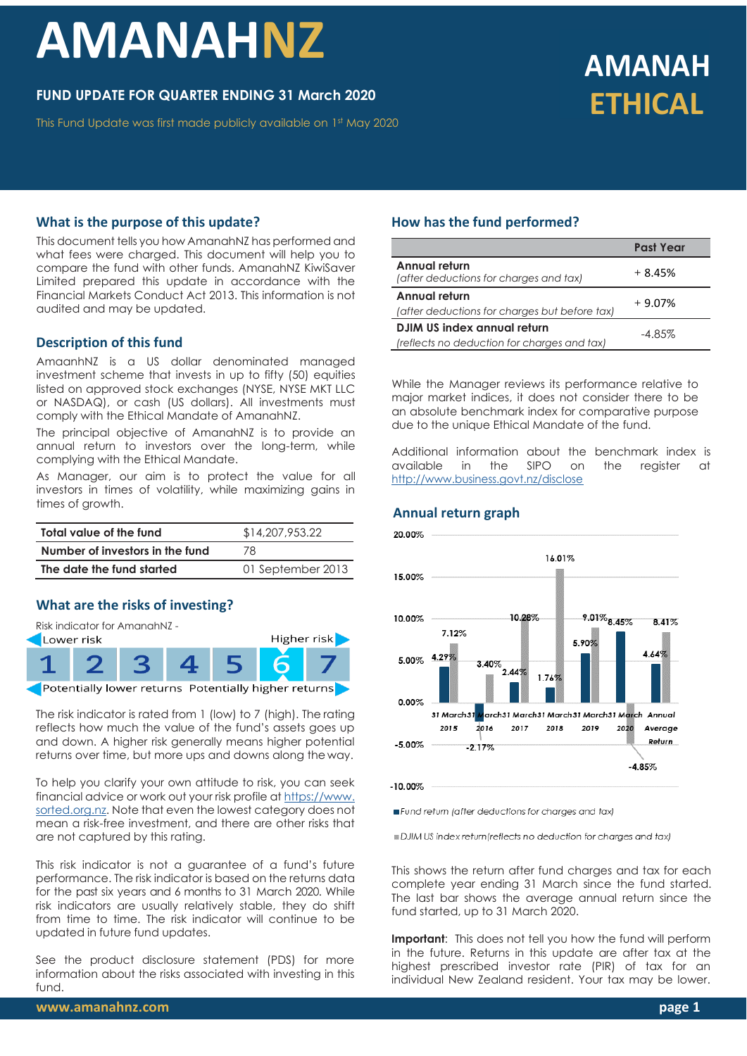# **AMANAHNZ**

### **FUND UPDATE FOR QUARTER ENDING 31 March 2020**

This Fund Update was first made publicly available on 1 st May 2020

## **AMANAH ETHICAL**

#### **What is the purpose of this update?**

This document tells you how AmanahNZ has performed and what fees were charged. This document will help you to compare the fund with other funds. AmanahNZ KiwiSaver Limited prepared this update in accordance with the Financial Markets Conduct Act 2013. This information is not audited and may be updated.

#### **Description of this fund**

AmaanhNZ is a US dollar denominated managed investment scheme that invests in up to fifty (50) equities listed on approved stock exchanges (NYSE, NYSE MKT LLC or NASDAQ), or cash (US dollars). All investments must comply with the Ethical Mandate of AmanahNZ.

The principal objective of AmanahNZ is to provide an annual return to investors over the long-term, while complying with the Ethical Mandate.

As Manager, our aim is to protect the value for all investors in times of volatility, while maximizing gains in times of growth.

| Total value of the fund         | \$14,207,953.22   |  |  |
|---------------------------------|-------------------|--|--|
| Number of investors in the fund | 78                |  |  |
| The date the fund started       | 01 September 2013 |  |  |

#### **What are the risks of investing?**



The risk indicator is rated from 1 (low) to 7 (high). The rating reflects how much the value of the fund's assets goes up and down. A higher risk generally means higher potential returns over time, but more ups and downs along the way.

To help you clarify your own attitude to risk, you can seek financial advice or work out your risk profile at [https://www.](https://www.sorted.org.nz/guides/kiwisaver-which-fund-suits) [sorted.org.nz.](https://www.sorted.org.nz/guides/kiwisaver-which-fund-suits) Note that even the lowest category does not mean a risk-free investment, and there are other risks that are not captured by this rating.

This risk indicator is not a guarantee of a fund's future performance. The risk indicator is based on the returns data for the past six years and 6 months to 31 March 2020. While risk indicators are usually relatively stable, they do shift from time to time. The risk indicator will continue to be updated in future fund updates.

See the product disclosure statement (PDS) for more information about the risks associated with investing in this fund.

#### **How has the fund performed?**

|                                                         | <b>Past Year</b> |  |
|---------------------------------------------------------|------------------|--|
| Annual return<br>(after deductions for charges and tax) | $+8.45%$         |  |
| Annual return                                           | $+9.07%$         |  |
| (after deductions for charges but before tax)           |                  |  |
| DJIM US index annual return                             | $-4.85\%$        |  |
| (reflects no deduction for charges and tax)             |                  |  |

While the Manager reviews its performance relative to major market indices, it does not consider there to be an absolute benchmark index for comparative purpose due to the unique Ethical Mandate of the fund.

Additional information about the benchmark index is available in the SIPO on the register at <http://www.business.govt.nz/disclose>

#### **Annual return graph**



Fund return (after deductions for charges and tax)

DJIM US index return (reflects no deduction for charges and tax)

This shows the return after fund charges and tax for each complete year ending 31 March since the fund started. The last bar shows the average annual return since the fund started, up to 31 March 2020.

**Important**: This does not tell you how the fund will perform in the future. Returns in this update are after tax at the highest prescribed investor rate (PIR) of tax for an individual New Zealand resident. Your tax may be lower.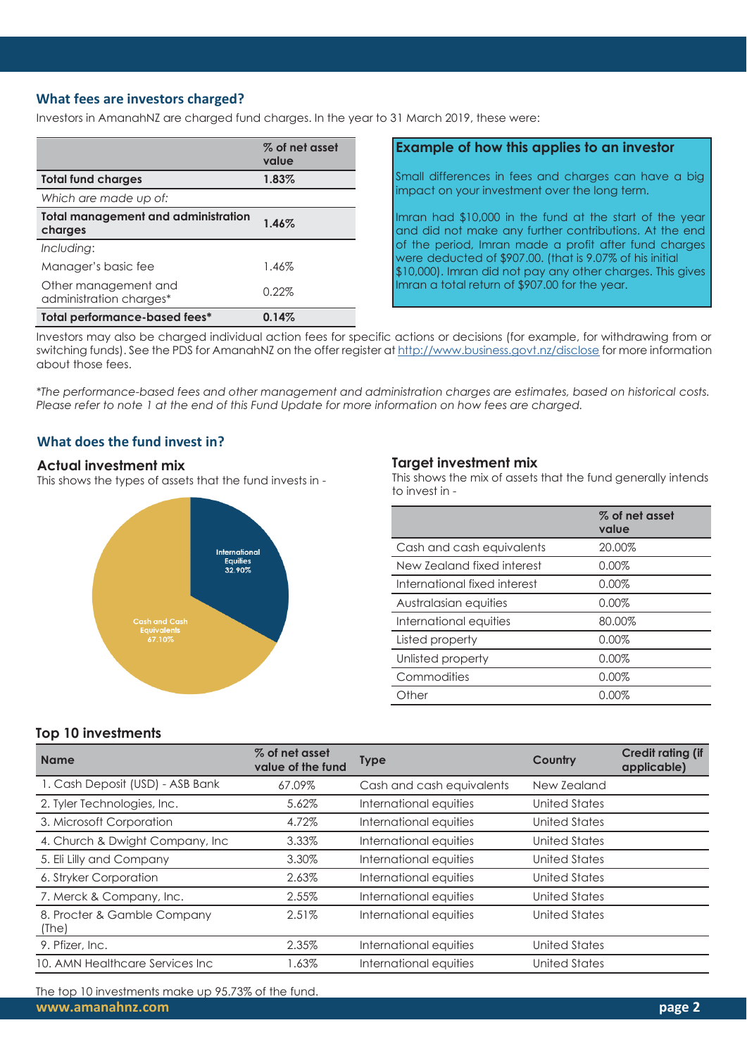#### **What fees are investors charged?**

Investors in AmanahNZ are charged fund charges. In the year to 31 March 2019, these were:

|                                                       | % of net asset<br>value |
|-------------------------------------------------------|-------------------------|
| <b>Total fund charges</b>                             | 1.83%                   |
| Which are made up of:                                 |                         |
| <b>Total management and administration</b><br>charges | 1.46%                   |
| Including:                                            |                         |
| Manager's basic fee                                   | 1.46%                   |
| Other management and<br>administration charges*       | 0.22%                   |
| Total performance-based fees*                         | 0.14%                   |

#### **Example of how this applies to an investor**

Small differences in fees and charges can have a big impact on your investment over the long term.

Imran had \$10,000 in the fund at the start of the year and did not make any further contributions. At the end of the period, Imran made a profit after fund charges were deducted of \$907.00. (that is 9.07% of his initial \$10,000). Imran did not pay any other charges. This gives Imran a total return of \$907.00 for the year.

Investors may also be charged individual action fees for specific actions or decisions (for example, for withdrawing from or switching funds). See the PDS for AmanahNZ on the offer register at <http://www.business.govt.nz/disclose> for more information about those fees.

*\*The performance-based fees and other management and administration charges are estimates, based on historical costs. Please refer to note 1 at the end of this Fund Update for more information on how fees are charged.*

#### **What does the fund invest in?**

#### **Actual investment mix**

This shows the types of assets that the fund invests in -



#### **Target investment mix**

This shows the mix of assets that the fund generally intends to invest in -

|                              | % of net asset<br>value |
|------------------------------|-------------------------|
| Cash and cash equivalents    | 20.00%                  |
| New Zealand fixed interest   | 0.00%                   |
| International fixed interest | 0.00%                   |
| Australasian equities        | $0.00\%$                |
| International equities       | 80.00%                  |
| Listed property              | 0.00%                   |
| Unlisted property            | 0.00%                   |
| Commodities                  | 0.00%                   |
| Other                        | 0.00%                   |
|                              |                         |

#### **Top 10 investments**

| <b>Name</b>                          | % of net asset<br>value of the fund | <b>Type</b>               | Country              | <b>Credit rating (if</b><br>applicable) |
|--------------------------------------|-------------------------------------|---------------------------|----------------------|-----------------------------------------|
| 1. Cash Deposit (USD) - ASB Bank     | 67.09%                              | Cash and cash equivalents | New Zealand          |                                         |
| 2. Tyler Technologies, Inc.          | 5.62%                               | International equities    | United States        |                                         |
| 3. Microsoft Corporation             | 4.72%                               | International equities    | United States        |                                         |
| 4. Church & Dwight Company, Inc.     | 3.33%                               | International equities    | United States        |                                         |
| 5. Eli Lilly and Company             | 3.30%                               | International equities    | United States        |                                         |
| 6. Stryker Corporation               | 2.63%                               | International equities    | United States        |                                         |
| 7. Merck & Company, Inc.             | 2.55%                               | International equities    | United States        |                                         |
| 8. Procter & Gamble Company<br>(The) | 2.51%                               | International equities    | <b>United States</b> |                                         |
| 9. Pfizer, Inc.                      | 2.35%                               | International equities    | United States        |                                         |
| 10. AMN Healthcare Services Inc.     | .63%                                | International equities    | United States        |                                         |

**[www.amanahnz.com](http://www.amanahnz.com/) page 2** The top 10 investments make up 95.73% of the fund.